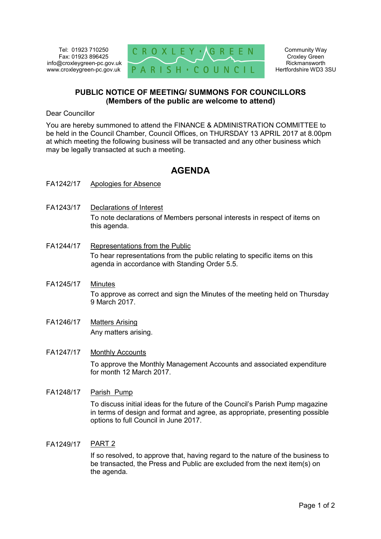Tel: 01923 710250 Fax: 01923 896425 info@croxleygreen-pc.gov.uk www.croxleygreen-pc.gov.uk



Community Way Croxley Green Rickmansworth Hertfordshire WD3 3SU

## **PUBLIC NOTICE OF MEETING/ SUMMONS FOR COUNCILLORS (Members of the public are welcome to attend)**

Dear Councillor

You are hereby summoned to attend the FINANCE & ADMINISTRATION COMMITTEE to be held in the Council Chamber, Council Offices, on THURSDAY 13 APRIL 2017 at 8.00pm at which meeting the following business will be transacted and any other business which may be legally transacted at such a meeting.

# **AGENDA**

- FA1242/17 Apologies for Absence
- FA1243/17 Declarations of Interest To note declarations of Members personal interests in respect of items on this agenda.
- FA1244/17 Representations from the Public To hear representations from the public relating to specific items on this agenda in accordance with Standing Order 5.5.
- FA1245/17 Minutes To approve as correct and sign the Minutes of the meeting held on Thursday 9 March 2017.
- FA1246/17 Matters Arising Any matters arising.

### FA1247/17 Monthly Accounts

To approve the Monthly Management Accounts and associated expenditure for month 12 March 2017.

#### FA1248/17 Parish Pump

To discuss initial ideas for the future of the Council's Parish Pump magazine in terms of design and format and agree, as appropriate, presenting possible options to full Council in June 2017.

### FA1249/17 PART 2

If so resolved, to approve that, having regard to the nature of the business to be transacted, the Press and Public are excluded from the next item(s) on the agenda.